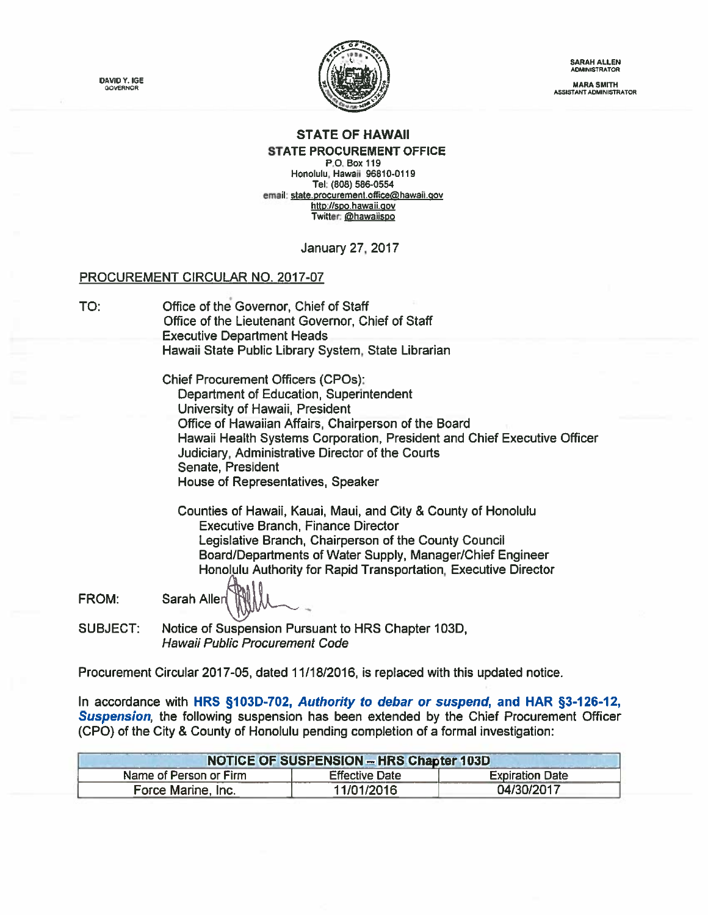

ADMINISTRATOR ASSISTANT ADMINISTRATOR

SARAH ALLEN

## STATE OF HAWAII

STATE PROCUREMENT OFFICE

P.O. Box 119 Honolulu, Hawaii 96810-0119 Tel: (808) 586-0554 email: state.procurement.office@hawaii.gov http://spo.hawaii.gov Twitter: @hawaiispo

January 27, 2017

## PROCUREMENT CIRCULAR NO. 2017-07

TO: Office of the Governor, Chief of Staff Office of the Lieutenant Governor, Chief of Staff Executive Department Heads Hawaii State Public Library System, State Librarian

> Chief Procurement Officers (CPOs): Department of Education, Superintendent University of Hawaii, President Office of Hawaiian Affairs, Chairperson of the Board Hawaii Health Systems Corporation, President and Chief Executive Officer Judiciary, Administrative Director of the Courts Senate, President House of Representatives, Speaker

Counties of Hawaü, Kauai, Maui, and City & County of Honolulu Executive Branch, Finance Director Legislative Branch, Chairperson of the County Council Board/Departments of Water Supply, Manager/Chief Engineer Honolulu Authority for Rapid Transportation, Executive Director

**FROM:** Sarah Alleri

SUBJECT: Notice of Suspension Pursuant to HRS Chapter 103D, Hawaii Public Procurement Code

Procurement Circular 2017-05, dated 11/18/2016, is replaced with this updated notice.

In accordance with HRS §103D-702, Authority to debar or suspend, and HAR §3-126-12, Suspension, the following suspension has been extended by the Chief Procurement Officer (CPO) of the City & County of Honolulu pending completion of <sup>a</sup> formal investigation:

| <b>NOTICE OF SUSPENSION - HRS Chapter 103D</b> |                       |                        |
|------------------------------------------------|-----------------------|------------------------|
| Name of Person or Firm                         | <b>Effective Date</b> | <b>Expiration Date</b> |
| Force Marine, Inc.                             | 11/01/2016            | 04/30/2017             |